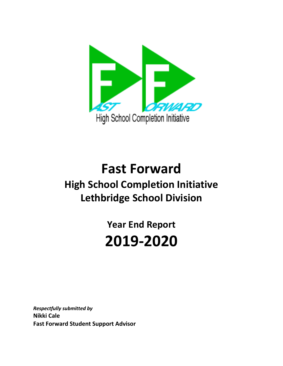

# **Fast Forward High School Completion Initiative Lethbridge School Division**

**Year End Report 2019-2020**

*Respectfully submitted by*  **Nikki Cale Fast Forward Student Support Advisor**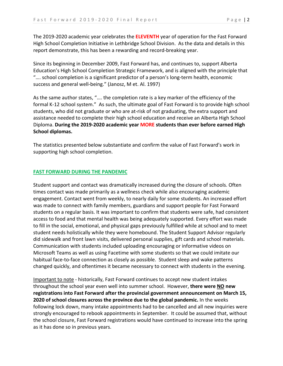The 2019-2020 academic year celebrates the **ELEVENTH** year of operation for the Fast Forward High School Completion Initiative in Lethbridge School Division. As the data and details in this report demonstrate, this has been a rewarding and record-breaking year.

Since its beginning in December 2009, Fast Forward has, and continues to, support Alberta Education's High School Completion Strategic Framework, and is aligned with the principle that "…. school completion is a significant predictor of a person's long-term health, economic success and general well-being." (Janosz, M et. Al. 1997)

As the same author states, "…. the completion rate is a key marker of the efficiency of the formal K-12 school system." As such, the ultimate goal of Fast Forward is to provide high school students, who did not graduate or who are at-risk of not graduating, the extra support and assistance needed to complete their high school education and receive an Alberta High School Diploma. **During the 2019-2020 academic year MORE students than ever before earned High School diplomas.**

The statistics presented below substantiate and confirm the value of Fast Forward's work in supporting high school completion.

#### **FAST FORWARD DURING THE PANDEMIC**

Student support and contact was dramatically increased during the closure of schools. Often times contact was made primarily as a wellness check while also encouraging academic engagement. Contact went from weekly, to nearly daily for some students. An increased effort was made to connect with family members, guardians and support people for Fast Forward students on a regular basis. It was important to confirm that students were safe, had consistent access to food and that mental health was being adequately supported. Every effort was made to fill in the social, emotional, and physical gaps previously fulfilled while at school and to meet student needs holistically while they were homebound. The Student Support Advisor regularly did sidewalk and front lawn visits, delivered personal supplies, gift cards and school materials. Communication with students included uploading encouraging or informative videos on Microsoft Teams as well as using Facetime with some students so that we could imitate our habitual face-to-face connection as closely as possible. Student sleep and wake patterns changed quickly, and oftentimes it became necessary to connect with students in the evening.

Important to note - historically, Fast Forward continues to accept new student intakes throughout the school year even well into summer school. However, **there were NO new registrations into Fast Forward after the provincial government announcement on March 15, 2020 of school closures across the province due to the global pandemic.** In the weeks following lock down, many intake appointments had to be cancelled and all new inquiries were strongly encouraged to rebook appointments in September. It could be assumed that, without the school closure, Fast Forward registrations would have continued to increase into the spring as it has done so in previous years.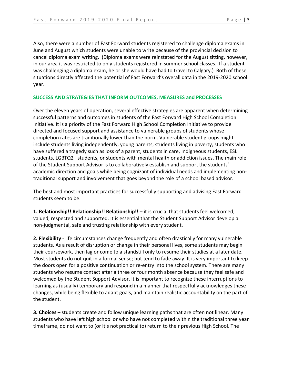Also, there were a number of Fast Forward students registered to challenge diploma exams in June and August which students were unable to write because of the provincial decision to cancel diploma exam writing. (Diploma exams were reinstated for the August sitting, however, in our area it was restricted to only students registered in summer school classes. If a student was challenging a diploma exam, he or she would have had to travel to Calgary.) Both of these situations directly affected the potential of Fast Forward's overall data in the 2019-2020 school year.

#### **SUCCESS AND STRATEGIES THAT INFORM OUTCOMES, MEASURES and PROCESSES**

Over the eleven years of operation, several effective strategies are apparent when determining successful patterns and outcomes in students of the Fast Forward High School Completion Initiative. It is a priority of the Fast Forward High School Completion Initiative to provide directed and focused support and assistance to vulnerable groups of students whose completion rates are traditionally lower than the norm. Vulnerable student groups might include students living independently, young parents, students living in poverty, students who have suffered a tragedy such as loss of a parent, students in care, Indigneous students, ESL students, LGBTQ2+ students, or students with mental health or addiction issues. The main role of the Student Support Advisor is to collaboratively establish and support the students' academic direction and goals while being cognizant of individual needs and implementing nontraditional support and involvement that goes beyond the role of a school based advisor.

The best and most important practices for successfully supporting and advising Fast Forward students seem to be:

**1. Relationship!! Relationship!! Relationship!!** – it is crucial that students feel welcomed, valued, respected and supported. It is essential that the Student Support Advisor develop a non-judgmental, safe and trusting relationship with every student.

**2. Flexibility** - life circumstances change frequently and often drastically for many vulnerable students. As a result of disruption or change in their personal lives, some students may begin their coursework, then lag or come to a standstill only to resume their studies at a later date. Most students do not quit in a formal sense; but tend to fade away. It is very important to keep the doors open for a positive continuation or re-entry into the school system. There are many students who resume contact after a three or four month absence because they feel safe and welcomed by the Student Support Advisor. It is important to recognize these interruptions to learning as (usually) temporary and respond in a manner that respectfully acknowledges these changes, while being flexible to adapt goals, and maintain realistic accountability on the part of the student.

**3. Choices** – students create and follow unique learning paths that are often not linear. Many students who have left high school or who have not completed within the traditional three year timeframe, do not want to (or it's not practical to) return to their previous High School. The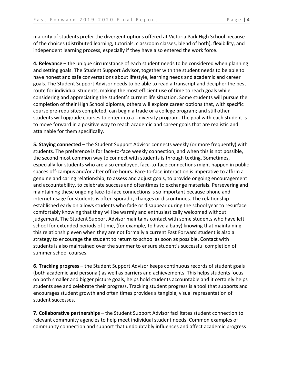majority of students prefer the divergent options offered at Victoria Park High School because of the choices (distributed learning, tutorials, classroom classes, blend of both), flexibility, and independent learning process, especially if they have also entered the work force.

**4. Relevance** – the unique circumstance of each student needs to be considered when planning and setting goals. The Student Support Advisor, together with the student needs to be able to have honest and safe conversations about lifestyle, learning needs and academic and career goals. The Student Support Advisor needs to be able to read a transcript and decipher the best route for individual students, making the most efficient use of time to reach goals while considering and appreciating the student's current life situation. Some students will pursue the completion of their High School diploma, others will explore career options that, with specific course pre-requisites completed, can begin a trade or a college program; and still other students will upgrade courses to enter into a University program. The goal with each student is to move forward in a positive way to reach academic and career goals that are realistic and attainable for them specifically.

**5. Staying connected** – the Student Support Advisor connects weekly (or more frequently) with students. The preference is for face-to-face weekly connection, and when this is not possible, the second most common way to connect with students is through texting. Sometimes, especially for students who are also employed, face-to-face connections might happen in public spaces off-campus and/or after office hours. Face-to-face interaction is imperative to affirm a genuine and caring relationship, to assess and adjust goals, to provide ongoing encouragement and accountability, to celebrate success and oftentimes to exchange materials. Persevering and maintaining these ongoing face-to-face connections is so important because phone and internet usage for students is often sporadic, changes or discontinues. The relationship established early on allows students who fade or disappear during the school year to resurface comfortably knowing that they will be warmly and enthusiastically welcomed without judgement. The Student Support Advisor maintains contact with some students who have left school for extended periods of time, (for example, to have a baby) knowing that maintaining this relationship even when they are not formally a current Fast Forward student is also a strategy to encourage the student to return to school as soon as possible. Contact with students is also maintained over the summer to ensure student's successful completion of summer school courses.

**6. Tracking progress** – the Student Support Advisor keeps continuous records of student goals (both academic and personal) as well as barriers and achievements. This helps students focus on both smaller and bigger picture goals, helps hold students accountable and it certainly helps students see and celebrate their progress. Tracking student progress is a tool that supports and encourages student growth and often times provides a tangible, visual representation of student successes.

**7. Collaborative partnerships** – the Student Support Advisor facilitates student connection to relevant community agencies to help meet individual student needs. Common examples of community connection and support that undoubtably influences and affect academic progress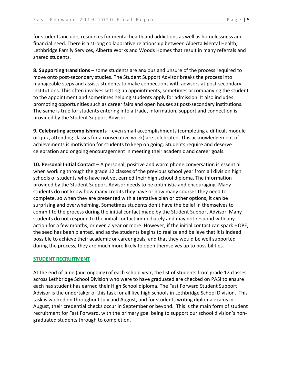for students include, resources for mental health and addictions as well as homelessness and financial need. There is a strong collaborative relationship between Alberta Mental Health, Lethbridge Family Services, Alberta Works and Woods Homes that result in many referrals and shared students.

**8. Supporting transitions** – some students are anxious and unsure of the process required to move onto post-secondary studies. The Student Support Advisor breaks the process into manageable steps and assists students to make connections with advisors at post-secondary institutions. This often involves setting up appointments, sometimes accompanying the student to the appointment and sometimes helping students apply for admission. It also includes promoting opportunities such as career fairs and open houses at post-secondary institutions. The same is true for students entering into a trade, information, support and connection is provided by the Student Support Advisor.

**9. Celebrating accomplishments** – even small accomplishments (completing a difficult module or quiz, attending classes for a consecutive week) are celebrated. This acknowledgement of achievements is motivation for students to keep on going. Students require and deserve celebration and ongoing encouragement in meeting their academic and career goals.

**10. Personal Initial Contact** – A personal, positive and warm phone conversation is essential when working through the grade 12 classes of the previous school year from all division high schools of students who have not yet earned their high school diploma. The information provided by the Student Support Advisor needs to be optimistic and encouraging. Many students do not know how many credits they have or how many courses they need to complete, so when they are presented with a tentative plan or other options, it can be surprising and overwhelming. Sometimes students don't have the belief in themselves to commit to the process during the initial contact made by the Student Support Advisor. Many students do not respond to the initial contact immediately and may not respond with any action for a few months, or even a year or more. However, if the initial contact can spark HOPE, the seed has been planted, and as the students begins to realize and believe that it is indeed possible to achieve their academic or career goals, and that they would be well supported during the process, they are much more likely to open themselves up to possibilities.

#### **STUDENT RECRUITMENT**

At the end of June (and ongoing) of each school year, the list of students from grade 12 classes across Lethbridge School Division who were to have graduated are checked on PASI to ensure each has student has earned their High School diploma. The Fast Forward Student Support Advisor is the undertaker of this task for all five high schools in Lethbridge School Division. This task is worked on throughout July and August, and for students writing diploma exams in August, their credential checks occur in September or beyond. This is the main form of student recruitment for Fast Forward, with the primary goal being to support our school division's nongraduated students through to completion.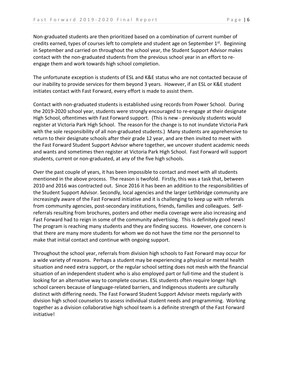Non-graduated students are then prioritized based on a combination of current number of credits earned, types of courses left to complete and student age on September  $1^{st}$ . Beginning in September and carried on throughout the school year, the Student Support Advisor makes contact with the non-graduated students from the previous school year in an effort to reengage them and work towards high school completion.

The unfortunate exception is students of ESL and K&E status who are not contacted because of our inability to provide services for them beyond 3 years. However, if an ESL or K&E student initiates contact with Fast Forward, every effort is made to assist them.

Contact with non-graduated students is established using records from Power School. During the 2019-2020 school year, students were strongly encouraged to re-engage at their designate High School, oftentimes with Fast Forward support. (This is new - previously students would register at Victoria Park High School. The reason for the change is to not inundate Victoria Park with the sole responsibility of all non-graduated students.) Many students are apprehensive to return to their designate schools after their grade 12 year, and are then invited to meet with the Fast Forward Student Support Advisor where together, we uncover student academic needs and wants and sometimes then register at Victoria Park High School. Fast Forward will support students, current or non-graduated, at any of the five high schools.

Over the past couple of years, it has been impossible to contact and meet with all students mentioned in the above process. The reason is twofold. Firstly, this was a task that, between 2010 and 2016 was contracted out. Since 2016 it has been an addition to the responsibilities of the Student Support Advisor. Secondly, local agencies and the larger Lethbridge community are increasingly aware of the Fast Forward initiative and it is challenging to keep up with referrals from community agencies, post-secondary institutions, friends, families and colleagues. Selfreferrals resulting from brochures, posters and other media coverage were also increasing and Fast Forward had to reign in some of the community advertising. This is definitely good news! The program is reaching many students and they are finding success. However, one concern is that there are many more students for whom we do not have the time nor the personnel to make that initial contact and continue with ongoing support.

Throughout the school year, referrals from division high schools to Fast Forward may occur for a wide variety of reasons. Perhaps a student may be experiencing a physical or mental health situation and need extra support, or the regular school setting does not mesh with the financial situation of an independent student who is also employed part or full-time and the student is looking for an alternative way to complete courses. ESL students often require longer high school careers because of language-related barriers, and Indigenous students are culturally distinct with differing needs. The Fast Forward Student Support Advisor meets regularly with division high school counselors to assess individual student needs and programming. Working together as a division collaborative high school team is a definite strength of the Fast Forward initiative!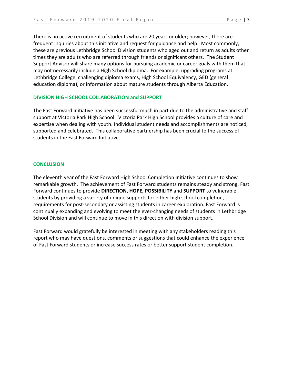There is no active recruitment of students who are 20 years or older; however, there are frequent inquiries about this initiative and request for guidance and help. Most commonly, these are previous Lethbridge School Division students who aged out and return as adults other times they are adults who are referred through friends or significant others. The Student Support Advisor will share many options for pursuing academic or career goals with them that may not necessarily include a High School diploma. For example, upgrading programs at Lethbridge College, challenging diploma exams, High School Equivalency, GED (general education diploma), or information about mature students through Alberta Education.

#### **DIVISION HIGH SCHOOL COLLABORATION and SUPPORT**

The Fast Forward initiative has been successful much in part due to the administrative and staff support at Victoria Park High School. Victoria Park High School provides a culture of care and expertise when dealing with youth. Individual student needs and accomplishments are noticed, supported and celebrated. This collaborative partnership has been crucial to the success of students in the Fast Forward Initiative.

#### **CONCLUSION**

The eleventh year of the Fast Forward High School Completion Initiative continues to show remarkable growth. The achievement of Fast Forward students remains steady and strong. Fast Forward continues to provide **DIRECTION, HOPE, POSSIBILITY** and **SUPPORT** to vulnerable students by providing a variety of unique supports for either high school completion, requirements for post-secondary or assisting students in career exploration. Fast Forward is continually expanding and evolving to meet the ever-changing needs of students in Lethbridge School Division and will continue to move in this direction with division support.

Fast Forward would gratefully be interested in meeting with any stakeholders reading this report who may have questions, comments or suggestions that could enhance the experience of Fast Forward students or increase success rates or better support student completion.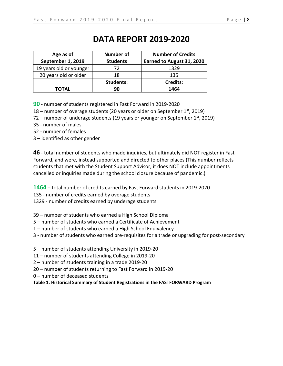## **DATA REPORT 2019-2020**

| Age as of               | <b>Number of</b> | <b>Number of Credits</b>  |
|-------------------------|------------------|---------------------------|
| September 1, 2019       | <b>Students</b>  | Earned to August 31, 2020 |
| 19 years old or younger | 72               | 1329                      |
| 20 years old or older   | 18               | 135                       |
|                         | <b>Students:</b> | <b>Credits:</b>           |
| TOTAL                   | 90               | 1464                      |

**90** - number of students registered in Fast Forward in 2019-2020

18 – number of overage students (20 years or older on September  $1<sup>st</sup>$ , 2019)

72 – number of underage students (19 years or younger on September  $1<sup>st</sup>$ , 2019)

- 35 number of males
- 52 number of females
- 3 identified as other gender

**46** - total number of students who made inquiries, but ultimately did NOT register in Fast Forward, and were, instead supported and directed to other places (This number reflects students that met with the Student Support Advisor, it does NOT include appointments cancelled or inquiries made during the school closure because of pandemic.)

**1464** – total number of credits earned by Fast Forward students in 2019-2020

135 - number of credits earned by overage students

1329 - number of credits earned by underage students

39 – number of students who earned a High School Diploma

- 5 number of students who earned a Certificate of Achievement
- 1 number of students who earned a High School Equivalency
- 3 number of students who earned pre-requisites for a trade or upgrading for post-secondary
- 5 number of students attending University in 2019-20
- 11 number of students attending College in 2019-20
- 2 number of students training in a trade 2019-20
- 20 number of students returning to Fast Forward in 2019-20
- 0 number of deceased students

**Table 1. Historical Summary of Student Registrations in the FASTFORWARD Program**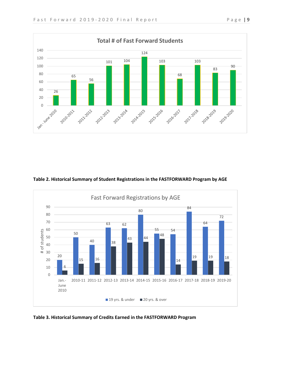



#### **Table 2. Historical Summary of Student Registrations in the FASTFORWARD Program by AGE**



**Table 3. Historical Summary of Credits Earned in the FASTFORWARD Program**